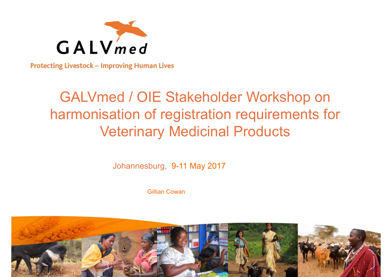

**Protecting Livestock - Improving Human Lives** 

# GALVmed / OIE Stakeholder Workshop on harmonisation of registration requirements for Veterinary Medicinal Products

Johannesburg, 9-11 May 2017

Gillian Cowan

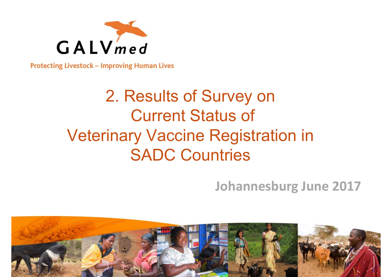

**Protecting Livestock - Improving Human Lives** 

# 2. Results of Survey on Current Status of Veterinary Vaccine Registration in SADC Countries

### **Johannesburg June 2017**

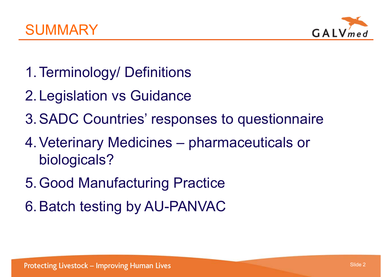



- 1.Terminology/ Definitions
- 2.Legislation vs Guidance
- 3.SADC Countries' responses to questionnaire
- 4.Veterinary Medicines pharmaceuticals or biologicals?
- 5.Good Manufacturing Practice
- 6.Batch testing by AU-PANVAC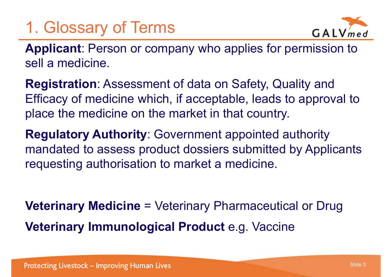# 1. Glossary of Terms



**Applicant**: Person or company who applies for permission to sell a medicine.

**Registration**: Assessment of data on Safety, Quality and Efficacy of medicine which, if acceptable, leads to approval to place the medicine on the market in that country.

**Regulatory Authority**: Government appointed authority mandated to assess product dossiers submitted by Applicants requesting authorisation to market a medicine.

**Veterinary Medicine** = Veterinary Pharmaceutical or Drug **Veterinary Immunological Product** e.g. Vaccine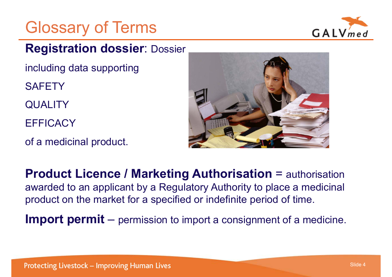# Glossary of Terms



#### **Registration dossier**: Dossier

including data supporting

**SAFETY** 

**QUALITY** 

**EFFICACY** 

of a medicinal product.



**Product Licence / Marketing Authorisation** = authorisation awarded to an applicant by a Regulatory Authority to place a medicinal product on the market for a specified or indefinite period of time.

**Import permit**  – $-$  permission to import a consignment of a medicine.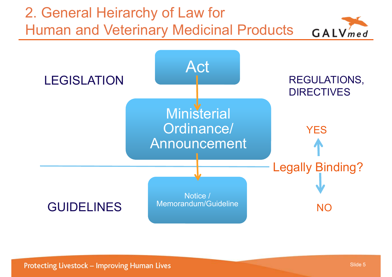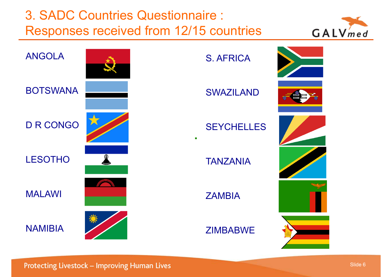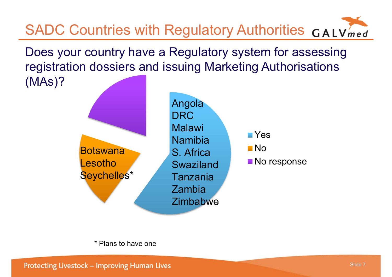

\* Plans to have one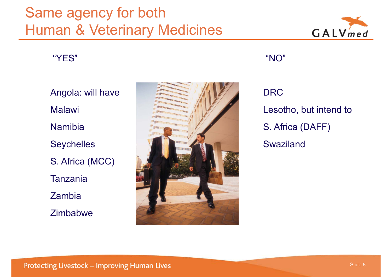# Same agency for both Human & Veterinary Medicines



"YES"

Angola: will have MalawiNamibia **Seychelles** S. Africa (MCC) Tanzania Zambia **Zimbabwe** 



"NO"

# DRC Lesotho, but intend to S. Africa (DAFF) **Swaziland**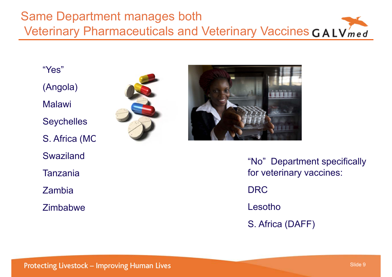#### Same Department manages both Veterinary Pharmaceuticals and Veterinary Vaccines GALVmed

"Yes"

(Angola)

Malawi

**Seychelles** 

S. Africa (MC

Swaziland

Tanzania

Zambia

Zimbabwe



"No" Department specifically for veterinary vaccines: DRCLesothoS. Africa (DAFF)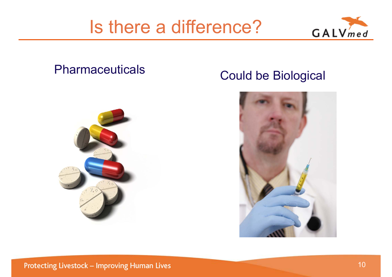# Is there a difference?



#### **Pharmaceuticals**



#### Could be Biological

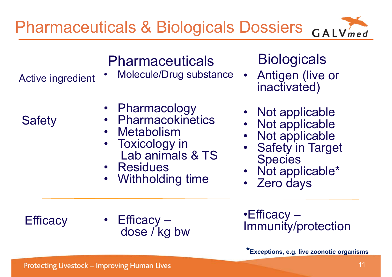

## **Pharmaceuticals**

Active ingredient

Molecule/Drug substance

## **Biologicals**

• Antigen (live or inactivated)

- •Pharmacology
- •**Pharmacokinetics**
- •Metabolism
- • Toxicology in Lab animals & TS
- Residues
- •Withholding time
- Not applicable
- Not applicable
- Not applicable
- Safety in Target **Species**
- Not applicable\*
- •Zero days

## **Efficacy**

**Safety** 

• Efficacy – dose / kg bw •Efficacy – Immunity/protection

**\*Exceptions, e.g. live zoonotic organisms** 

•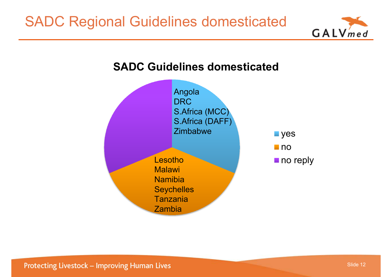

#### **SADC Guidelines domesticated**

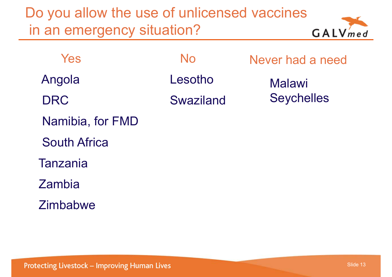Do you allow the use of unlicensed vaccines in an emergency situation?



| Yes                 | No        | Never had a need  |
|---------------------|-----------|-------------------|
| Angola              | Lesotho   | <b>Malawi</b>     |
| <b>DRC</b>          | Swaziland | <b>Seychelles</b> |
| Namibia, for FMD    |           |                   |
| <b>South Africa</b> |           |                   |
| <b>Tanzania</b>     |           |                   |
| Zambia              |           |                   |
| <b>Zimbabwe</b>     |           |                   |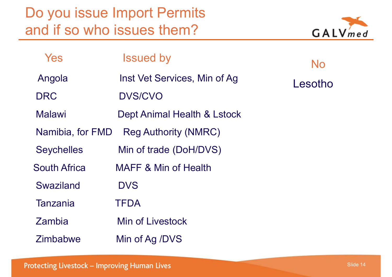Do you issue Import Permits and if so who issues them?



| Yes                 | <b>Issued by</b>                | No      |
|---------------------|---------------------------------|---------|
| Angola              | Inst Vet Services, Min of Ag    | Lesotho |
| <b>DRC</b>          | <b>DVS/CVO</b>                  |         |
| Malawi              | Dept Animal Health & Lstock     |         |
| Namibia, for FMD    | <b>Reg Authority (NMRC)</b>     |         |
| <b>Seychelles</b>   | Min of trade (DoH/DVS)          |         |
| <b>South Africa</b> | <b>MAFF &amp; Min of Health</b> |         |
| Swaziland           | <b>DVS</b>                      |         |
| Tanzania            | <b>TFDA</b>                     |         |
| Zambia              | Min of Livestock                |         |
| <b>Zimbabwe</b>     | Min of Ag /DVS                  |         |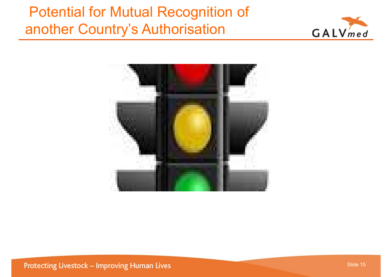# Potential for Mutual Recognition of another Country's Authorisation





**Protecting Livestock - Improving Human Lives** 

Slide 15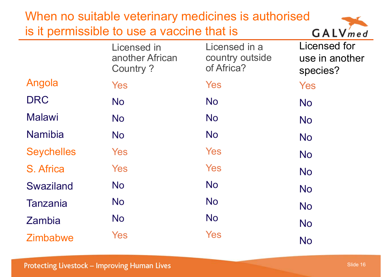| When no suitable veterinary medicines is authorised |                                                   |                                                |                                                   |  |
|-----------------------------------------------------|---------------------------------------------------|------------------------------------------------|---------------------------------------------------|--|
| is it permissible to use a vaccine that is          | GALVmed                                           |                                                |                                                   |  |
|                                                     | Licensed in<br>another African<br><b>Country?</b> | Licensed in a<br>country outside<br>of Africa? | <b>Licensed for</b><br>use in another<br>species? |  |
| Angola                                              | Yes                                               | Yes                                            | Yes                                               |  |
| <b>DRC</b>                                          | <b>No</b>                                         | <b>No</b>                                      | <b>No</b>                                         |  |
| <b>Malawi</b>                                       | <b>No</b>                                         | <b>No</b>                                      | <b>No</b>                                         |  |
| <b>Namibia</b>                                      | <b>No</b>                                         | <b>No</b>                                      | <b>No</b>                                         |  |
| <b>Seychelles</b>                                   | Yes                                               | Yes                                            | <b>No</b>                                         |  |
| S. Africa                                           | Yes                                               | Yes                                            | <b>No</b>                                         |  |
| <b>Swaziland</b>                                    | <b>No</b>                                         | <b>No</b>                                      | <b>No</b>                                         |  |
| <b>Tanzania</b>                                     | <b>No</b>                                         | <b>No</b>                                      | <b>No</b>                                         |  |
| Zambia                                              | <b>No</b>                                         | <b>No</b>                                      | <b>No</b>                                         |  |
| <b>Zimbabwe</b>                                     | Yes                                               | <b>Yes</b>                                     | <b>No</b>                                         |  |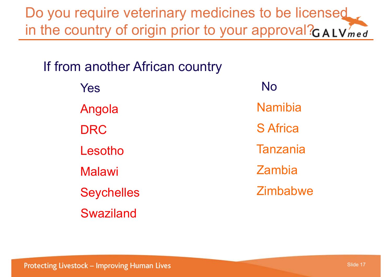Do you require veterinary medicines to be licensed in the country of origin prior to your approval? $GAVmed$ 

If from another African country

YesAngola DRCLesotho Malawi **Seychelles** SwazilandNoNamibiaS Africa**Tanzania** ZambiaZimbabwe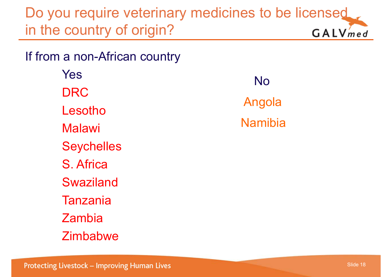Do you require veterinary medicines to be licensed in the country of origin?  $GALVmed$ 

If from a non-African country

YesDRCLesothoMalawi **Seychelles** S. AfricaSwazilandTanzaniaZambia**Zimbabwe** 

NoAngola Namibia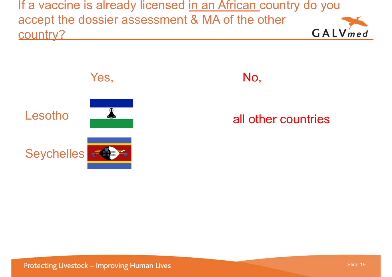If a vaccine is already licensed in an African country do you accept the dossier assessment & MA of the other GALVmed country?



#### No,

#### all other countries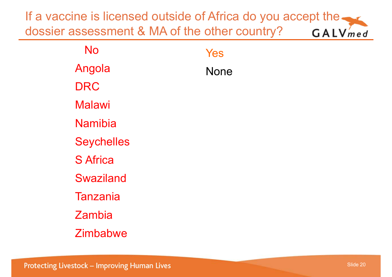If a vaccine is licensed outside of Africa do you accept the. dossier assessment & MA of the other country? GALVmed

| No                | Yes  |
|-------------------|------|
| Angola            | None |
| <b>DRC</b>        |      |
| <b>Malawi</b>     |      |
| <b>Namibia</b>    |      |
| <b>Seychelles</b> |      |
| <b>S</b> Africa   |      |
| <b>Swaziland</b>  |      |
| <b>Tanzania</b>   |      |
| Zambia            |      |
| <b>Zimbabwe</b>   |      |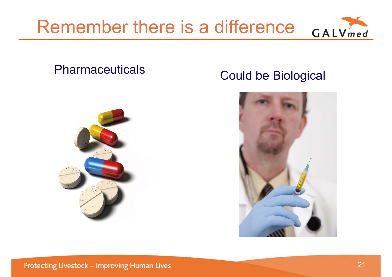



#### Pharmaceuticals



#### Could be Biological

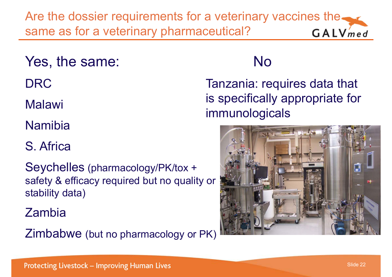Are the dossier requirements for a veterinary vaccines the same as for a veterinary pharmaceutical?  $GALV$ *med* 

Yes, the same:

DRC

Malawi

Namibia

S. Africa

Seychelles (pharmacology/PK/tox <sup>+</sup> safety & efficacy required but no quality or stability data)

Zambia

Zimbabwe (but no pharmacology or PK)

## No

Tanzania: requires data that is specifically appropriate for immunologicals

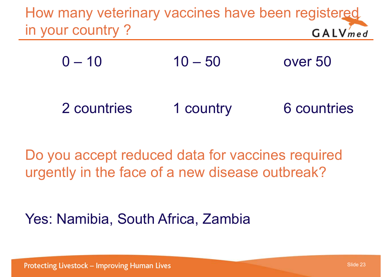How many veterinary vaccines have been registered in your country ?  $GALV$ *med* 

 $0 - 10$  10 – 50 over 50

2 countries 1 country 6 countries

Do you accept reduced data for vaccines required urgently in the face of a new disease outbreak?

Yes: Namibia, South Africa, Zambia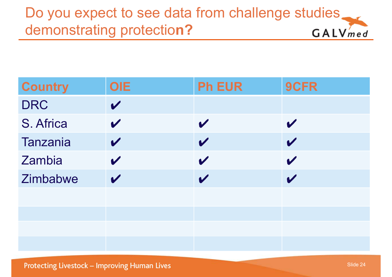#### Do you expect to see data from challenge studies. demonstrating protectio**n?** GALVmed

| <b>Country</b> | <b>OIE</b>                 | <b>Ph EUR</b>              | 9CFR                       |
|----------------|----------------------------|----------------------------|----------------------------|
| <b>DRC</b>     | $\boldsymbol{\mathcal{U}}$ |                            |                            |
| S. Africa      | $\mathbf{v}$               | $\boldsymbol{\mathcal{U}}$ | $\mathbf{v}$               |
| Tanzania       | $\boldsymbol{\mathcal{U}}$ | $\boldsymbol{\mathcal{U}}$ | $\boldsymbol{\mathcal{U}}$ |
| Zambia         | $\boldsymbol{\mathcal{U}}$ | $\mathbf{v}$               | $\boldsymbol{\mathscr{C}}$ |
| Zimbabwe       | $\boldsymbol{\mathcal{U}}$ | $\boldsymbol{\mathcal{U}}$ | $\boldsymbol{\mathcal{U}}$ |
|                |                            |                            |                            |
|                |                            |                            |                            |
|                |                            |                            |                            |
|                |                            |                            |                            |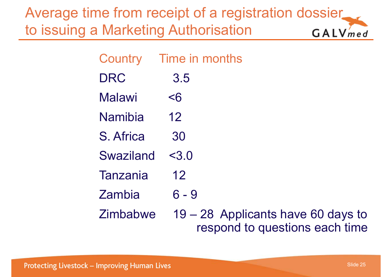Average time from receipt of a registration dossier to issuing a Marketing Authorisation GALVmed

| Country       | Time in months |
|---------------|----------------|
| <b>DRC</b>    | 3.5            |
| <b>Malawi</b> | $\leq 6$       |
| Namibia       | 12             |
| S. Africa     | 30             |
| Swaziland     | < 3.0          |
| Tanzania      | 12             |
| Zambia        | $6 - 9$        |
| Zimbabwe      | 19 – 28 Appli  |

icants have 60 days to respond to questions each time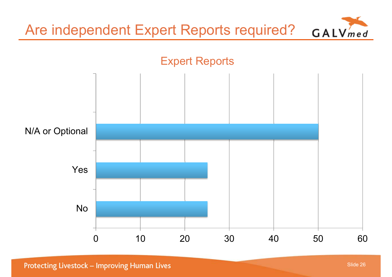

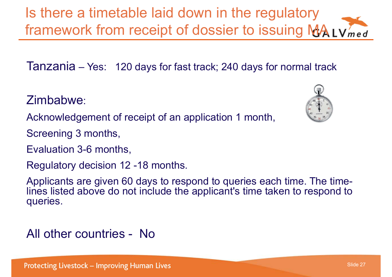Protecting Livestock - Improving Human Lives

Slide 27

Applicants are given 60 days to respond to queries each time. The timelines listed above do not include the applicant's time taken to respond to queries.

Zimbabwe:

Acknowledgement of receipt of an application 1 month,

Screening 3 months,

Evaluation 3-6 months,

Regulatory decision 12 -18 months.

All other countries - No

Is there a timetable laid down in the regulatory framework from receipt of dossier to issuing MA Lymed

Tanzania – Yes: 120 days for fast track; 240 days for normal track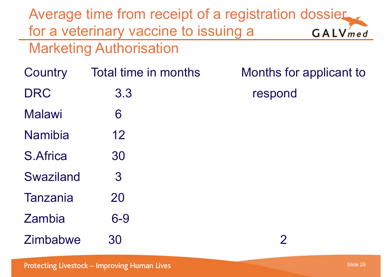Average time from receipt of a registration dossier for a veterinary vaccine to issuing a GALVmed Marketing Authorisation Country Total time in months Months for applicant to DRC 3.3 respond Malawi 6 Namibia 12 S.Africa 30 Swaziland 3 Tanzania 20 Zambia 6-9 Zimbabwe 30 2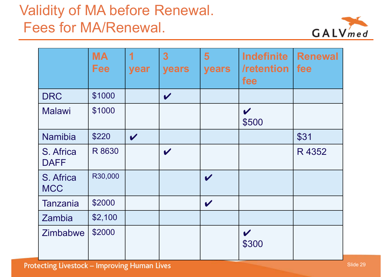# Validity of MA before Renewal. Fees for MA/Renewal.



|                          | <b>MA</b><br><b>Fee</b> | $\blacktriangleleft$<br>year | 3 <sup>1</sup><br>years    | 5 <sup>5</sup><br>years    | <b>Indefinite</b><br>/retention<br>fee | <b>Renewal</b><br>fee |
|--------------------------|-------------------------|------------------------------|----------------------------|----------------------------|----------------------------------------|-----------------------|
| <b>DRC</b>               | \$1000                  |                              | $\boldsymbol{\mathscr{U}}$ |                            |                                        |                       |
| <b>Malawi</b>            | \$1000                  |                              |                            |                            | $\boldsymbol{\mathscr{C}}$<br>\$500    |                       |
| Namibia                  | \$220                   | $\boldsymbol{\mathcal{U}}$   |                            |                            |                                        | \$31                  |
| S. Africa<br><b>DAFF</b> | R 8630                  |                              | $\boldsymbol{\mathscr{C}}$ |                            |                                        | R 4352                |
| S. Africa<br><b>MCC</b>  | R30,000                 |                              |                            | $\boldsymbol{\mathscr{U}}$ |                                        |                       |
| <b>Tanzania</b>          | \$2000                  |                              |                            | $\boldsymbol{\mathcal{U}}$ |                                        |                       |
| Zambia                   | \$2,100                 |                              |                            |                            |                                        |                       |
| Zimbabwe                 | \$2000                  |                              |                            |                            | $\boldsymbol{\mathcal{U}}$<br>\$300    |                       |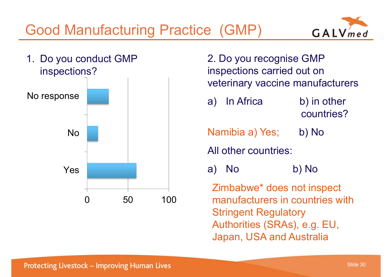Good Manufacturing Practice (GMP) 1. Do you conduct GMP



2. Do you recognise GMP inspections carried out on veterinary vaccine manufacturers a) In Africa b) in other countries?Namibia a) Yes; b) No All other countries:a) No b) No Zimbabwe\* does not inspect manufacturers in countries with Stringent Regulatory Authorities (SRAs), e.g. EU, Japan, USA and Australia

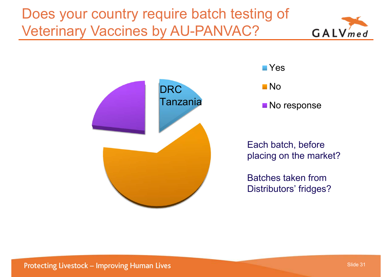Does your country require batch testing of Veterinary Vaccines by AU-PANVAC?







No response

Each batch, before placing on the market?

Batches taken fromDistributors' fridges?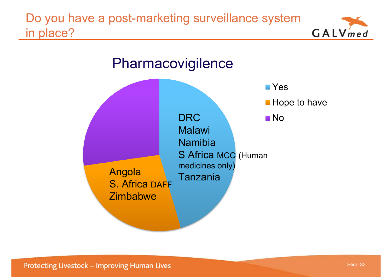Do you have a post-marketing surveillance system in place?